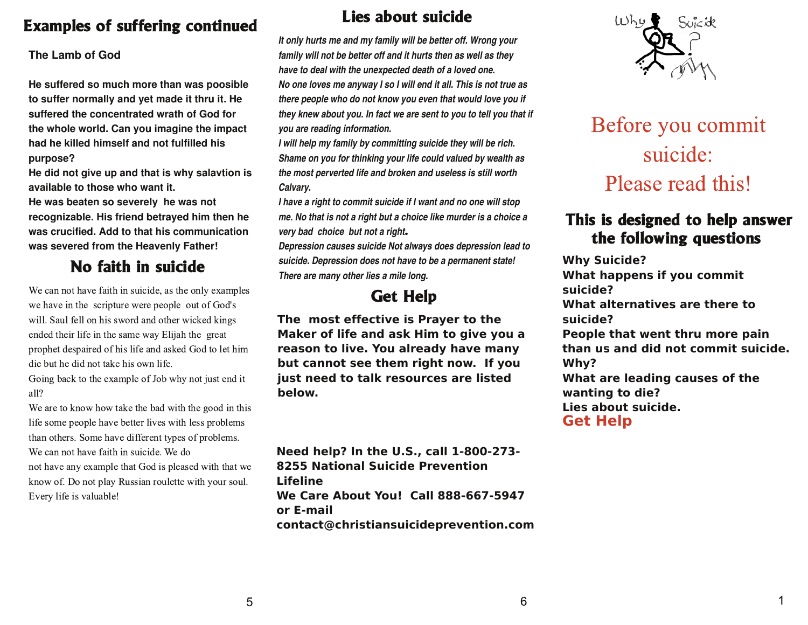## **Examples of suffering continued**

#### The Lamb of God

He suffered so much more than was poosible to suffer normally and yet made it thru it. He suffered the concentrated wrath of God for the whole world. Can you imagine the impact had he killed himself and not fulfilled his purpose?

He did not give up and that is why salavtion is available to those who want it.

He was beaten so severely he was not recognizable. His friend betrayed him then he was crucified. Add to that his communication was severed from the Heavenly Father!

# No faith in suicide

We can not have faith in suicide, as the only examples we have in the scripture were people out of God's will. Saul fell on his sword and other wicked kings ended their life in the same way Elijah the great prophet despaired of his life and asked God to let him die but he did not take his own life.

Going back to the example of Job why not just end it all?

We are to know how take the bad with the good in this life some people have better lives with less problems than others. Some have different types of problems. We can not have faith in suicide. We do not have any example that God is pleased with that we know of. Do not play Russian roulette with your soul. Every life is valuable!

### Lies about suicide

It only hurts me and my family will be better off. Wrong your family will not be better off and it hurts then as well as they have to deal with the unexpected death of a loved one. No one loves me anyway I so I will end it all. This is not true as there people who do not know you even that would love you if they knew about you. In fact we are sent to you to tell you that if you are reading information.

I will help my family by committing suicide they will be rich. Shame on you for thinking your life could valued by wealth as the most perverted life and broken and useless is still worth Calvary.

I have a right to commit suicide if I want and no one will stop me. No that is not a right but a choice like murder is a choice a very bad choice but not a right.

Depression causes suicide Not always does depression lead to suicide. Depression does not have to be a permanent state! There are many other lies a mile long.

# **Get Help**

The most effective is Prayer to the Maker of life and ask Him to give you a reason to live. You already have many but cannot see them right now. If you just need to talk resources are listed helow.

Need help? In the U.S., call 1-800-273-8255 National Suicide Prevention **Lifeline** We Care About You! Call 888-667-5947 or E-mail contact@christiansuicideprevention.com



# Before you commit suicide: Please read this!

### This is designed to help answer the following questions

**Why Suicide?** What happens if you commit suicide? What alternatives are there to suicide? People that went thru more pain than us and did not commit suicide. Why? What are leading causes of the wanting to die? Lies about suicide. **Get Help** 

1